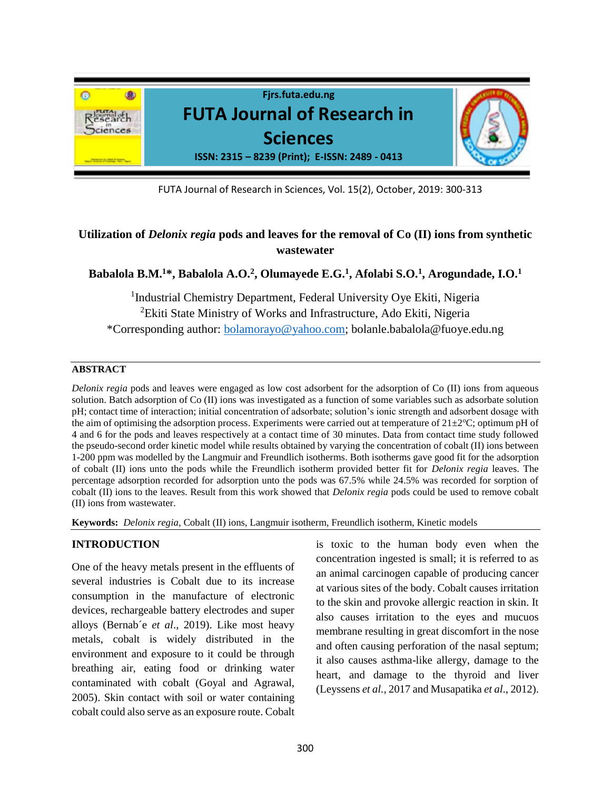

FUTA Journal of Research in Sciences, Vol. 15(2), October, 2019: 300-313

# **Utilization of** *Delonix regia* **pods and leaves for the removal of Co (II) ions from synthetic wastewater**

# **Babalola B.M.<sup>1</sup>\*, Babalola A.O.<sup>2</sup> , Olumayede E.G.<sup>1</sup> , Afolabi S.O.<sup>1</sup> , Arogundade, I.O.<sup>1</sup>**

<sup>1</sup>Industrial Chemistry Department, Federal University Oye Ekiti, Nigeria <sup>2</sup>Ekiti State Ministry of Works and Infrastructure, Ado Ekiti, Nigeria \*Corresponding author: [bolamorayo@yahoo.com;](about:blank) bolanle.babalola@fuoye.edu.ng

### **ABSTRACT**

*Delonix regia* pods and leaves were engaged as low cost adsorbent for the adsorption of Co (II) ions from aqueous solution. Batch adsorption of Co (II) ions was investigated as a function of some variables such as adsorbate solution pH; contact time of interaction; initial concentration of adsorbate; solution's ionic strength and adsorbent dosage with the aim of optimising the adsorption process. Experiments were carried out at temperature of  $21\pm2^{\circ}C$ ; optimum pH of 4 and 6 for the pods and leaves respectively at a contact time of 30 minutes. Data from contact time study followed the pseudo-second order kinetic model while results obtained by varying the concentration of cobalt (II) ions between 1-200 ppm was modelled by the Langmuir and Freundlich isotherms. Both isotherms gave good fit for the adsorption of cobalt (II) ions unto the pods while the Freundlich isotherm provided better fit for *Delonix regia* leaves. The percentage adsorption recorded for adsorption unto the pods was 67.5% while 24.5% was recorded for sorption of cobalt (II) ions to the leaves. Result from this work showed that *Delonix regia* pods could be used to remove cobalt (II) ions from wastewater.

**Keywords:** *Delonix regia,* Cobalt (II) ions, Langmuir isotherm, Freundlich isotherm, Kinetic models

# **INTRODUCTION**

One of the heavy metals present in the effluents of several industries is Cobalt due to its increase consumption in the manufacture of electronic devices, rechargeable battery electrodes and super alloys (Bernab´e *et al*., 2019). Like most heavy metals, cobalt is widely distributed in the environment and exposure to it could be through breathing air, eating food or drinking water contaminated with cobalt (Goyal and Agrawal, 2005). Skin contact with soil or water containing cobalt could also serve as an exposure route. Cobalt is toxic to the human body even when the concentration ingested is small; it is referred to as an animal carcinogen capable of producing cancer at various sites of the body. Cobalt causes irritation to the skin and provoke allergic reaction in skin. It also causes irritation to the eyes and mucuos membrane resulting in great discomfort in the nose and often causing perforation of the nasal septum; it also causes asthma-like allergy, damage to the heart, and damage to the thyroid and liver (Leyssens *et al.,* 2017 and Musapatika *et al*., 2012).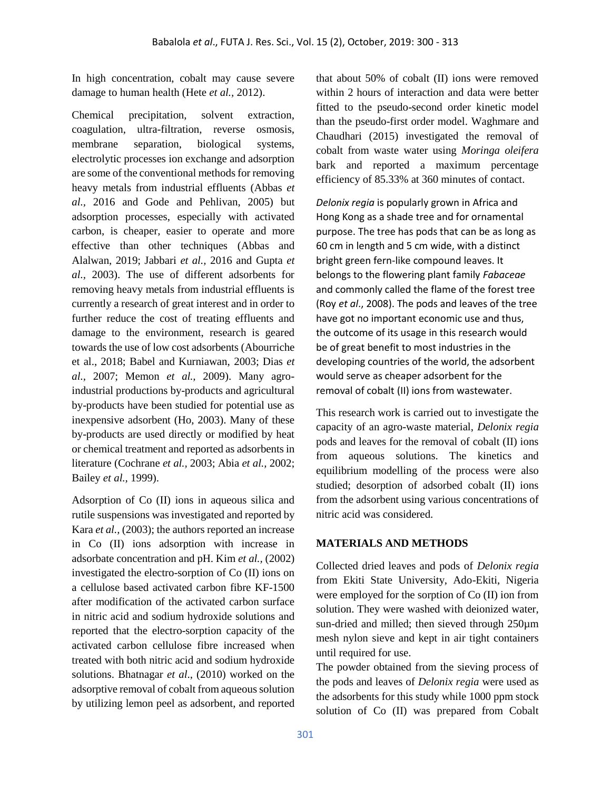In high concentration, cobalt may cause severe damage to human health (Hete *et al.,* 2012).

Chemical precipitation, solvent extraction, coagulation, ultra-filtration, reverse osmosis, membrane separation, biological systems, electrolytic processes ion exchange and adsorption are some of the conventional methods for removing heavy metals from industrial effluents (Abbas *et al.,* 2016 and Gode and Pehlivan, 2005) but adsorption processes, especially with activated carbon, is cheaper, easier to operate and more effective than other techniques (Abbas and Alalwan, 2019; Jabbari *et al.,* 2016 and Gupta *et al.,* 2003). The use of different adsorbents for removing heavy metals from industrial effluents is currently a research of great interest and in order to further reduce the cost of treating effluents and damage to the environment, research is geared towards the use of low cost adsorbents (Abourriche et al., 2018; Babel and Kurniawan, 2003; Dias *et al.,* 2007; Memon *et al.,* 2009). Many agroindustrial productions by-products and agricultural by-products have been studied for potential use as inexpensive adsorbent (Ho, 2003). Many of these by-products are used directly or modified by heat or chemical treatment and reported as adsorbents in literature (Cochrane *et al.,* 2003; Abia *et al.,* 2002; Bailey *et al.,* 1999).

Adsorption of Co (II) ions in aqueous silica and rutile suspensions was investigated and reported by Kara *et al.,* (2003); the authors reported an increase in Co (II) ions adsorption with increase in adsorbate concentration and pH. Kim *et al.,* (2002) investigated the electro-sorption of Co (II) ions on a cellulose based activated carbon fibre KF-1500 after modification of the activated carbon surface in nitric acid and sodium hydroxide solutions and reported that the electro-sorption capacity of the activated carbon cellulose fibre increased when treated with both nitric acid and sodium hydroxide solutions. Bhatnagar *et al*., (2010) worked on the adsorptive removal of cobalt from aqueous solution by utilizing lemon peel as adsorbent, and reported that about 50% of cobalt (II) ions were removed within 2 hours of interaction and data were better fitted to the pseudo-second order kinetic model than the pseudo-first order model. Waghmare and Chaudhari (2015) investigated the removal of cobalt from waste water using *Moringa oleifera* bark and reported a maximum percentage efficiency of 85.33% at 360 minutes of contact.

*Delonix regia* is popularly grown in Africa and Hong Kong as a shade tree and for ornamental purpose. The tree has pods that can be as long as 60 cm in length and 5 cm wide, with a distinct bright green fern-like compound leaves. It belongs to the flowering plant family *Fabaceae* and commonly called the flame of the forest tree (Roy *et al*., 2008). The pods and leaves of the tree have got no important economic use and thus, the outcome of its usage in this research would be of great benefit to most industries in the developing countries of the world, the adsorbent would serve as cheaper adsorbent for the removal of cobalt (II) ions from wastewater.

This research work is carried out to investigate the capacity of an agro-waste material, *Delonix regia* pods and leaves for the removal of cobalt (II) ions from aqueous solutions. The kinetics and equilibrium modelling of the process were also studied; desorption of adsorbed cobalt (II) ions from the adsorbent using various concentrations of nitric acid was considered.

# **MATERIALS AND METHODS**

Collected dried leaves and pods of *Delonix regia* from Ekiti State University, Ado-Ekiti, Nigeria were employed for the sorption of Co (II) ion from solution. They were washed with deionized water, sun-dried and milled; then sieved through 250 $\mu$ m mesh nylon sieve and kept in air tight containers until required for use.

The powder obtained from the sieving process of the pods and leaves of *Delonix regia* were used as the adsorbents for this study while 1000 ppm stock solution of Co (II) was prepared from Cobalt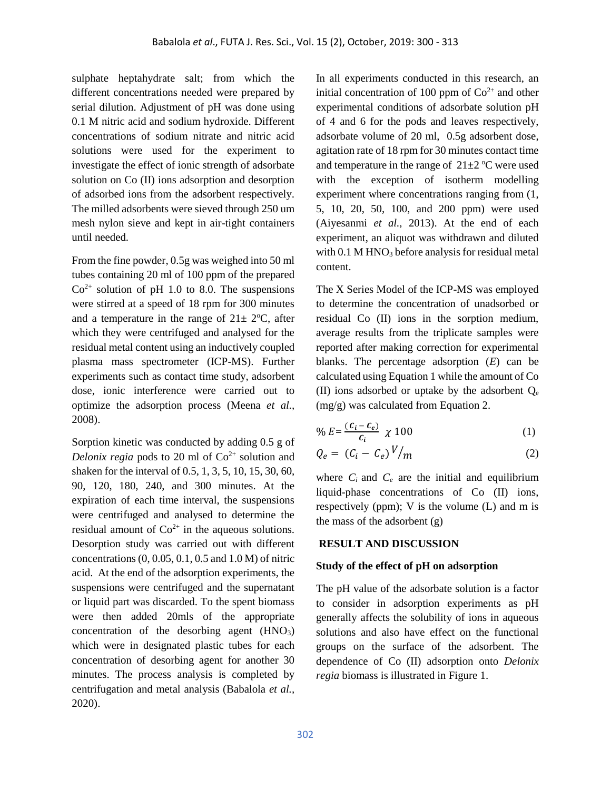sulphate heptahydrate salt; from which the different concentrations needed were prepared by serial dilution. Adjustment of pH was done using 0.1 M nitric acid and sodium hydroxide. Different concentrations of sodium nitrate and nitric acid solutions were used for the experiment to investigate the effect of ionic strength of adsorbate solution on Co (II) ions adsorption and desorption of adsorbed ions from the adsorbent respectively. The milled adsorbents were sieved through 250 um mesh nylon sieve and kept in air-tight containers until needed.

From the fine powder, 0.5g was weighed into 50 ml tubes containing 20 ml of 100 ppm of the prepared  $Co<sup>2+</sup>$  solution of pH 1.0 to 8.0. The suspensions were stirred at a speed of 18 rpm for 300 minutes and a temperature in the range of  $21 \pm 2$ °C, after which they were centrifuged and analysed for the residual metal content using an inductively coupled plasma mass spectrometer (ICP-MS). Further experiments such as contact time study, adsorbent dose, ionic interference were carried out to optimize the adsorption process (Meena *et al.,* 2008).

Sorption kinetic was conducted by adding 0.5 g of Delonix regia pods to 20 ml of  $Co<sup>2+</sup>$  solution and shaken for the interval of 0.5, 1, 3, 5, 10, 15, 30, 60, 90, 120, 180, 240, and 300 minutes. At the expiration of each time interval, the suspensions were centrifuged and analysed to determine the residual amount of  $Co^{2+}$  in the aqueous solutions. Desorption study was carried out with different concentrations (0, 0.05, 0.1, 0.5 and 1.0 M) of nitric acid. At the end of the adsorption experiments, the suspensions were centrifuged and the supernatant or liquid part was discarded. To the spent biomass were then added 20mls of the appropriate concentration of the desorbing agent  $(HNO<sub>3</sub>)$ which were in designated plastic tubes for each concentration of desorbing agent for another 30 minutes. The process analysis is completed by centrifugation and metal analysis (Babalola *et al.,* 2020).

In all experiments conducted in this research, an initial concentration of 100 ppm of  $Co<sup>2+</sup>$  and other experimental conditions of adsorbate solution pH of 4 and 6 for the pods and leaves respectively, adsorbate volume of 20 ml, 0.5g adsorbent dose, agitation rate of 18 rpm for 30 minutes contact time and temperature in the range of  $21 \pm 2$  °C were used with the exception of isotherm modelling experiment where concentrations ranging from (1, 5, 10, 20, 50, 100, and 200 ppm) were used (Aiyesanmi *et al.,* 2013). At the end of each experiment, an aliquot was withdrawn and diluted with 0.1 M HNO<sub>3</sub> before analysis for residual metal content.

The X Series Model of the ICP-MS was employed to determine the concentration of unadsorbed or residual Co (II) ions in the sorption medium, average results from the triplicate samples were reported after making correction for experimental blanks. The percentage adsorption (*E*) can be calculated using Equation 1 while the amount of Co (II) ions adsorbed or uptake by the adsorbent  $O_e$ (mg/g) was calculated from Equation 2.

$$
\% E = \frac{(c_i - c_e)}{c_i} \times 100 \tag{1}
$$

$$
Q_e = (C_i - C_e)^V / m \tag{2}
$$

where  $C_i$  and  $C_e$  are the initial and equilibrium liquid-phase concentrations of Co (II) ions, respectively (ppm); V is the volume (L) and m is the mass of the adsorbent (g)

#### **RESULT AND DISCUSSION**

#### **Study of the effect of pH on adsorption**

The pH value of the adsorbate solution is a factor to consider in adsorption experiments as pH generally affects the solubility of ions in aqueous solutions and also have effect on the functional groups on the surface of the adsorbent. The dependence of Co (II) adsorption onto *Delonix regia* biomass is illustrated in Figure 1.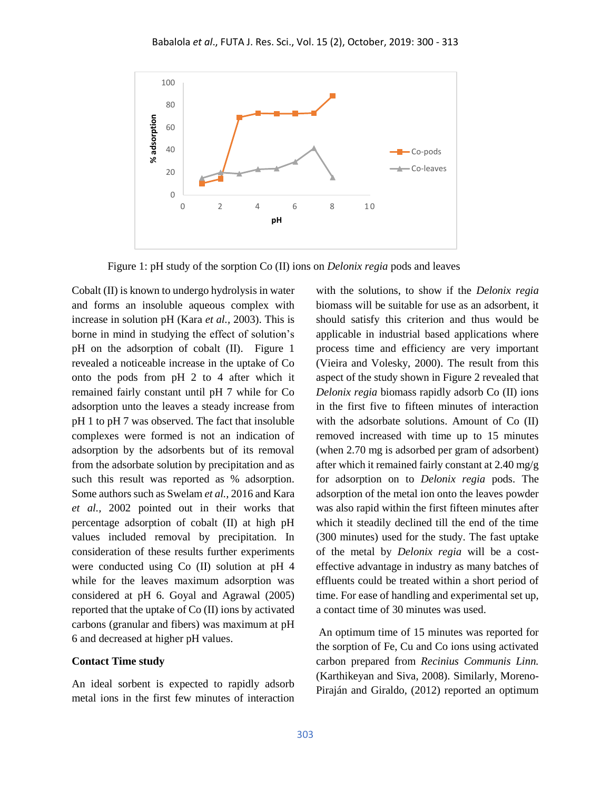

Figure 1: pH study of the sorption Co (II) ions on *Delonix regia* pods and leaves

Cobalt (II) is known to undergo hydrolysis in water and forms an insoluble aqueous complex with increase in solution pH (Kara *et al.,* 2003). This is borne in mind in studying the effect of solution's pH on the adsorption of cobalt (II). Figure 1 revealed a noticeable increase in the uptake of Co onto the pods from pH 2 to 4 after which it remained fairly constant until pH 7 while for Co adsorption unto the leaves a steady increase from pH 1 to pH 7 was observed. The fact that insoluble complexes were formed is not an indication of adsorption by the adsorbents but of its removal from the adsorbate solution by precipitation and as such this result was reported as % adsorption. Some authors such as Swelam *et al.,* 2016 and Kara *et al.,* 2002 pointed out in their works that percentage adsorption of cobalt (II) at high pH values included removal by precipitation. In consideration of these results further experiments were conducted using Co (II) solution at pH 4 while for the leaves maximum adsorption was considered at pH 6. Goyal and Agrawal (2005) reported that the uptake of Co (II) ions by activated carbons (granular and fibers) was maximum at pH 6 and decreased at higher pH values.

#### **Contact Time study**

An ideal sorbent is expected to rapidly adsorb metal ions in the first few minutes of interaction with the solutions, to show if the *Delonix regia* biomass will be suitable for use as an adsorbent, it should satisfy this criterion and thus would be applicable in industrial based applications where process time and efficiency are very important (Vieira and Volesky, 2000). The result from this aspect of the study shown in Figure 2 revealed that *Delonix regia* biomass rapidly adsorb Co (II) ions in the first five to fifteen minutes of interaction with the adsorbate solutions. Amount of Co (II) removed increased with time up to 15 minutes (when 2.70 mg is adsorbed per gram of adsorbent) after which it remained fairly constant at 2.40 mg/g for adsorption on to *Delonix regia* pods. The adsorption of the metal ion onto the leaves powder was also rapid within the first fifteen minutes after which it steadily declined till the end of the time (300 minutes) used for the study. The fast uptake of the metal by *Delonix regia* will be a costeffective advantage in industry as many batches of effluents could be treated within a short period of time. For ease of handling and experimental set up, a contact time of 30 minutes was used.

An optimum time of 15 minutes was reported for the sorption of Fe, Cu and Co ions using activated carbon prepared from *Recinius Communis Linn.*  (Karthikeyan and Siva, 2008). Similarly, Moreno-Piraján and Giraldo, (2012) reported an optimum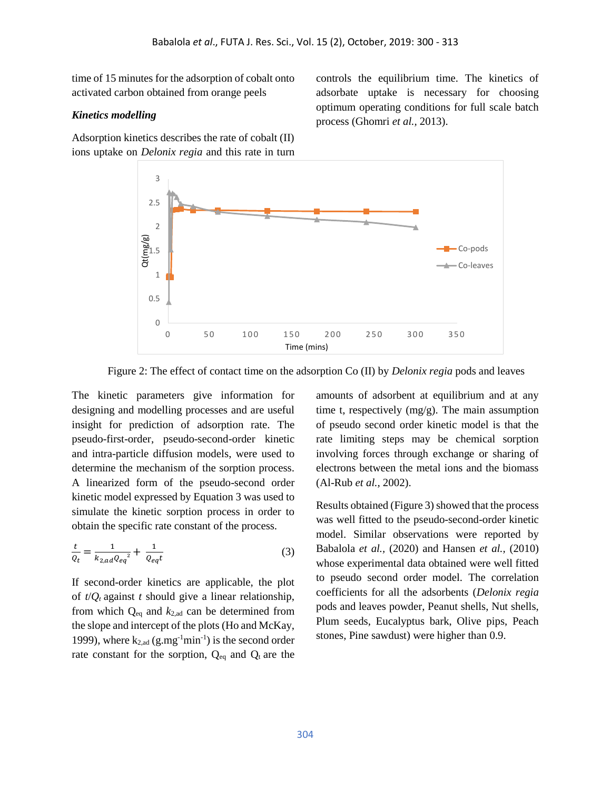time of 15 minutes for the adsorption of cobalt onto activated carbon obtained from orange peels

#### *Kinetics modelling*

Adsorption kinetics describes the rate of cobalt (II) ions uptake on *Delonix regia* and this rate in turn controls the equilibrium time. The kinetics of adsorbate uptake is necessary for choosing optimum operating conditions for full scale batch process (Ghomri *et al.,* 2013).



Figure 2: The effect of contact time on the adsorption Co (II) by *Delonix regia* pods and leaves

The kinetic parameters give information for designing and modelling processes and are useful insight for prediction of adsorption rate. The pseudo-first-order, pseudo-second-order kinetic and intra-particle diffusion models, were used to determine the mechanism of the sorption process. A linearized form of the pseudo-second order kinetic model expressed by Equation 3 was used to simulate the kinetic sorption process in order to obtain the specific rate constant of the process.

$$
\frac{t}{Q_t} = \frac{1}{k_{2,ad}Q_{eq}^2} + \frac{1}{Q_{eq}t}
$$
 (3)

If second-order kinetics are applicable, the plot of  $t/Q_t$  against *t* should give a linear relationship, from which Qeq and *k*2,ad can be determined from the slope and intercept of the plots (Ho and McKay, 1999), where  $k_{2,ad}$  (g.mg<sup>-1</sup>min<sup>-1</sup>) is the second order rate constant for the sorption,  $Q_{eq}$  and  $Q_t$  are the

amounts of adsorbent at equilibrium and at any time t, respectively (mg/g). The main assumption of pseudo second order kinetic model is that the rate limiting steps may be chemical sorption involving forces through exchange or sharing of electrons between the metal ions and the biomass (Al-Rub *et al.,* 2002).

Results obtained (Figure 3) showed that the process was well fitted to the pseudo-second-order kinetic model. Similar observations were reported by Babalola *et al.,* (2020) and Hansen *et al.,* (2010) whose experimental data obtained were well fitted to pseudo second order model. The correlation coefficients for all the adsorbents (*Delonix regia* pods and leaves powder, Peanut shells, Nut shells, Plum seeds, Eucalyptus bark, Olive pips, Peach stones, Pine sawdust) were higher than 0.9.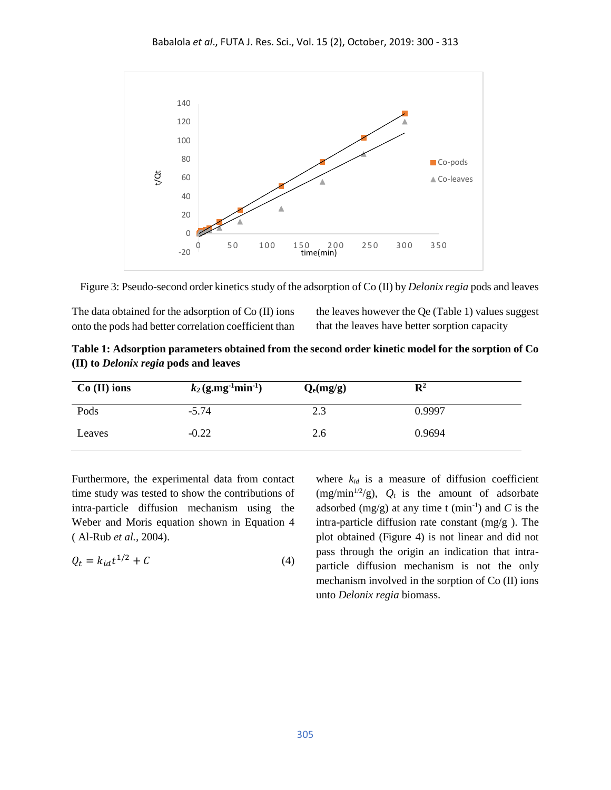

Figure 3: Pseudo-second order kinetics study of the adsorption of Co (II) by *Delonix regia* pods and leaves

The data obtained for the adsorption of Co (II) ions onto the pods had better correlation coefficient than the leaves however the Qe (Table 1) values suggest that the leaves have better sorption capacity

**Table 1: Adsorption parameters obtained from the second order kinetic model for the sorption of Co (II) to** *Delonix regia* **pods and leaves**

| $Co$ (II) ions | $k_2$ (g.mg <sup>-1</sup> min <sup>-1</sup> ) | $Q_e(mg/g)$ | $\mathbf{R}^2$ |
|----------------|-----------------------------------------------|-------------|----------------|
| Pods           | $-5.74$                                       | 2.3         | 0.9997         |
| Leaves         | $-0.22$                                       | 2.6         | 0.9694         |

Furthermore, the experimental data from contact time study was tested to show the contributions of intra-particle diffusion mechanism using the Weber and Moris equation shown in Equation 4 ( Al-Rub *et al.,* 2004).

$$
Q_t = k_{id}t^{1/2} + C \tag{4}
$$

where  $k_{id}$  is a measure of diffusion coefficient (mg/min<sup>1/2</sup>/g),  $Q_t$  is the amount of adsorbate adsorbed  $(mg/g)$  at any time t  $(min^{-1})$  and C is the intra-particle diffusion rate constant (mg/g ). The plot obtained (Figure 4) is not linear and did not pass through the origin an indication that intraparticle diffusion mechanism is not the only mechanism involved in the sorption of Co (II) ions unto *Delonix regia* biomass.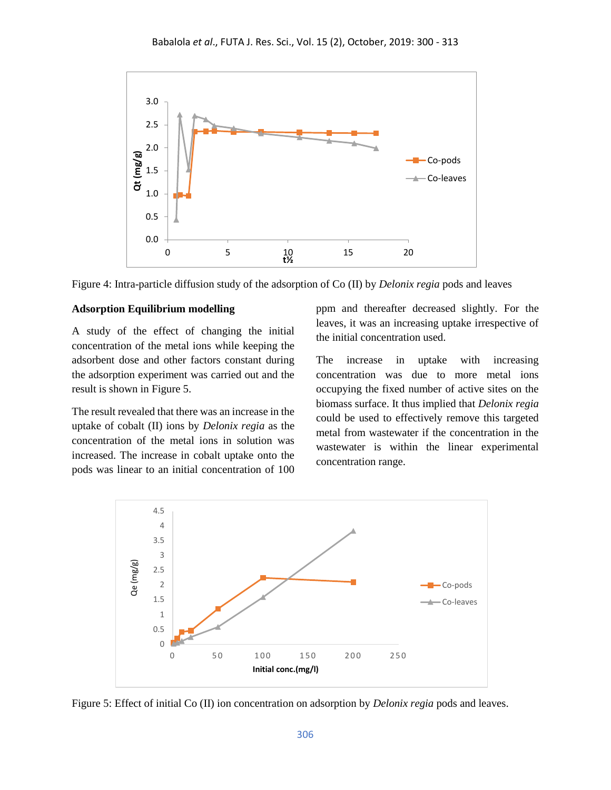

Figure 4: Intra-particle diffusion study of the adsorption of Co (II) by *Delonix regia* pods and leaves

### **Adsorption Equilibrium modelling**

A study of the effect of changing the initial concentration of the metal ions while keeping the adsorbent dose and other factors constant during the adsorption experiment was carried out and the result is shown in Figure 5.

The result revealed that there was an increase in the uptake of cobalt (II) ions by *Delonix regia* as the concentration of the metal ions in solution was increased. The increase in cobalt uptake onto the pods was linear to an initial concentration of 100 ppm and thereafter decreased slightly. For the leaves, it was an increasing uptake irrespective of the initial concentration used.

The increase in uptake with increasing concentration was due to more metal ions occupying the fixed number of active sites on the biomass surface. It thus implied that *Delonix regia* could be used to effectively remove this targeted metal from wastewater if the concentration in the wastewater is within the linear experimental concentration range.



Figure 5: Effect of initial Co (II) ion concentration on adsorption by *Delonix regia* pods and leaves.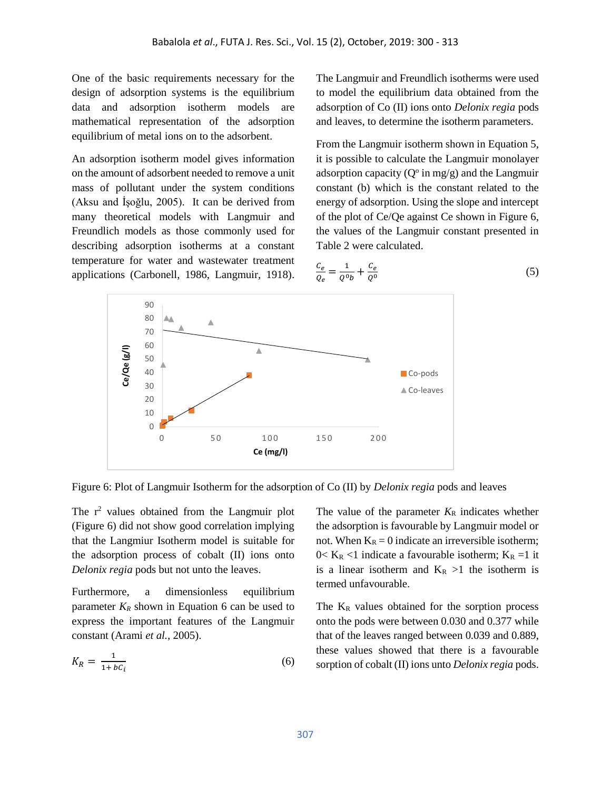One of the basic requirements necessary for the design of adsorption systems is the equilibrium data and adsorption isotherm models are mathematical representation of the adsorption equilibrium of metal ions on to the adsorbent.

An adsorption isotherm model gives information on the amount of adsorbent needed to remove a unit mass of pollutant under the system conditions (Aksu and İşoğlu, 2005). It can be derived from many theoretical models with Langmuir and Freundlich models as those commonly used for describing adsorption isotherms at a constant temperature for water and wastewater treatment applications (Carbonell, 1986, Langmuir, 1918). The Langmuir and Freundlich isotherms were used to model the equilibrium data obtained from the adsorption of Co (II) ions onto *Delonix regia* pods and leaves, to determine the isotherm parameters.

From the Langmuir isotherm shown in Equation 5, it is possible to calculate the Langmuir monolayer adsorption capacity ( $Q^{\circ}$  in mg/g) and the Langmuir constant (b) which is the constant related to the energy of adsorption. Using the slope and intercept of the plot of Ce/Qe against Ce shown in Figure 6, the values of the Langmuir constant presented in Table 2 were calculated.

$$
\frac{c_e}{Q_e} = \frac{1}{Q^0 b} + \frac{c_e}{Q^0} \tag{5}
$$



Figure 6: Plot of Langmuir Isotherm for the adsorption of Co (II) by *Delonix regia* pods and leaves

The  $r^2$  values obtained from the Langmuir plot (Figure 6) did not show good correlation implying that the Langmiur Isotherm model is suitable for the adsorption process of cobalt (II) ions onto *Delonix regia* pods but not unto the leaves.

Furthermore, a dimensionless equilibrium parameter  $K_R$  shown in Equation 6 can be used to express the important features of the Langmuir constant (Arami *et al.,* 2005).

$$
K_R = \frac{1}{1 + bC_i} \tag{6}
$$

The value of the parameter  $K_R$  indicates whether the adsorption is favourable by Langmuir model or not. When  $K_R = 0$  indicate an irreversible isotherm;  $0 < K_R < 1$  indicate a favourable isotherm;  $K_R = 1$  it is a linear isotherm and  $K_R > 1$  the isotherm is termed unfavourable.

The  $K_R$  values obtained for the sorption process onto the pods were between 0.030 and 0.377 while that of the leaves ranged between 0.039 and 0.889, these values showed that there is a favourable sorption of cobalt (II) ions unto *Delonix regia* pods.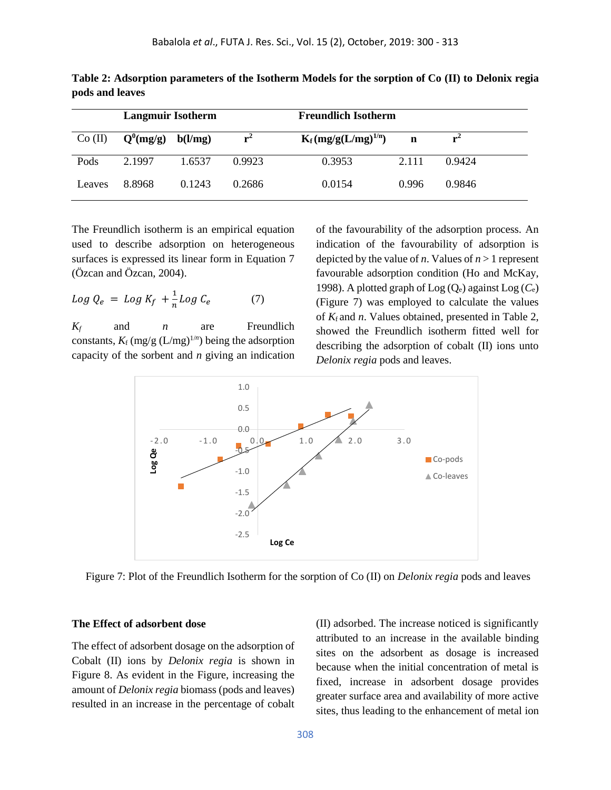| <b>Langmuir Isotherm</b> |             |         | <b>Freundlich Isotherm</b> |                          |       |        |
|--------------------------|-------------|---------|----------------------------|--------------------------|-------|--------|
| Co (II)                  | $Q^0(mg/g)$ | b(l/mg) | ${\bf r}$                  | $K_f (mg/g(L/mg)^{1/n})$ | n     | $r^2$  |
| Pods                     | 2.1997      | 1.6537  | 0.9923                     | 0.3953                   | 2.111 | 0.9424 |
| Leaves                   | 8.8968      | 0.1243  | 0.2686                     | 0.0154                   | 0.996 | 0.9846 |

**Table 2: Adsorption parameters of the Isotherm Models for the sorption of Co (II) to Delonix regia pods and leaves**

The Freundlich isotherm is an empirical equation used to describe adsorption on heterogeneous surfaces is expressed its linear form in Equation 7 (Özcan and Özcan, 2004).

$$
Log Q_e = Log K_f + \frac{1}{n} Log C_e \tag{7}
$$

*K<sup>f</sup>* and *n* are Freundlich constants,  $K_f$  (mg/g (L/mg)<sup>1/*n*</sup>) being the adsorption capacity of the sorbent and *n* giving an indication of the favourability of the adsorption process. An indication of the favourability of adsorption is depicted by the value of *n*. Values of  $n > 1$  represent favourable adsorption condition (Ho and McKay, 1998). A plotted graph of Log (Qe) against Log (*C*e) (Figure 7) was employed to calculate the values of *K*<sup>f</sup> and *n*. Values obtained, presented in Table 2, showed the Freundlich isotherm fitted well for describing the adsorption of cobalt (II) ions unto *Delonix regia* pods and leaves.



Figure 7: Plot of the Freundlich Isotherm for the sorption of Co (II) on *Delonix regia* pods and leaves

#### **The Effect of adsorbent dose**

The effect of adsorbent dosage on the adsorption of Cobalt (II) ions by *Delonix regia* is shown in Figure 8. As evident in the Figure, increasing the amount of *Delonix regia* biomass (pods and leaves) resulted in an increase in the percentage of cobalt (II) adsorbed. The increase noticed is significantly attributed to an increase in the available binding sites on the adsorbent as dosage is increased because when the initial concentration of metal is fixed, increase in adsorbent dosage provides greater surface area and availability of more active sites, thus leading to the enhancement of metal ion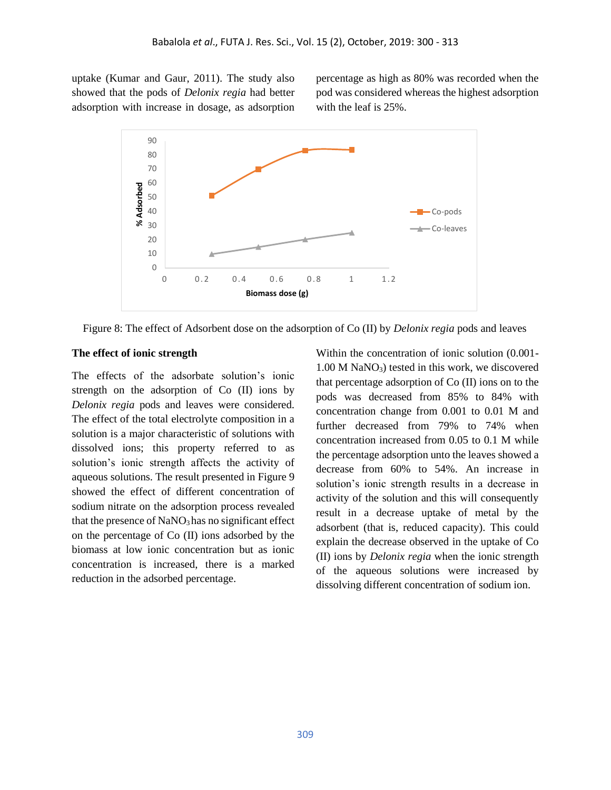uptake (Kumar and Gaur, 2011). The study also showed that the pods of *Delonix regia* had better adsorption with increase in dosage, as adsorption percentage as high as 80% was recorded when the pod was considered whereas the highest adsorption with the leaf is 25%.



Figure 8: The effect of Adsorbent dose on the adsorption of Co (II) by *Delonix regia* pods and leaves

#### **The effect of ionic strength**

The effects of the adsorbate solution's ionic strength on the adsorption of Co (II) ions by *Delonix regia* pods and leaves were considered. The effect of the total electrolyte composition in a solution is a major characteristic of solutions with dissolved ions; this property referred to as solution's ionic strength affects the activity of aqueous solutions. The result presented in Figure 9 showed the effect of different concentration of sodium nitrate on the adsorption process revealed that the presence of NaNO<sub>3</sub> has no significant effect on the percentage of Co (II) ions adsorbed by the biomass at low ionic concentration but as ionic concentration is increased, there is a marked reduction in the adsorbed percentage.

Within the concentration of ionic solution (0.001- 1.00 M NaNO3) tested in this work, we discovered that percentage adsorption of Co (II) ions on to the pods was decreased from 85% to 84% with concentration change from 0.001 to 0.01 M and further decreased from 79% to 74% when concentration increased from 0.05 to 0.1 M while the percentage adsorption unto the leaves showed a decrease from 60% to 54%. An increase in solution's ionic strength results in a decrease in activity of the solution and this will consequently result in a decrease uptake of metal by the adsorbent (that is, reduced capacity). This could explain the decrease observed in the uptake of Co (II) ions by *Delonix regia* when the ionic strength of the aqueous solutions were increased by dissolving different concentration of sodium ion.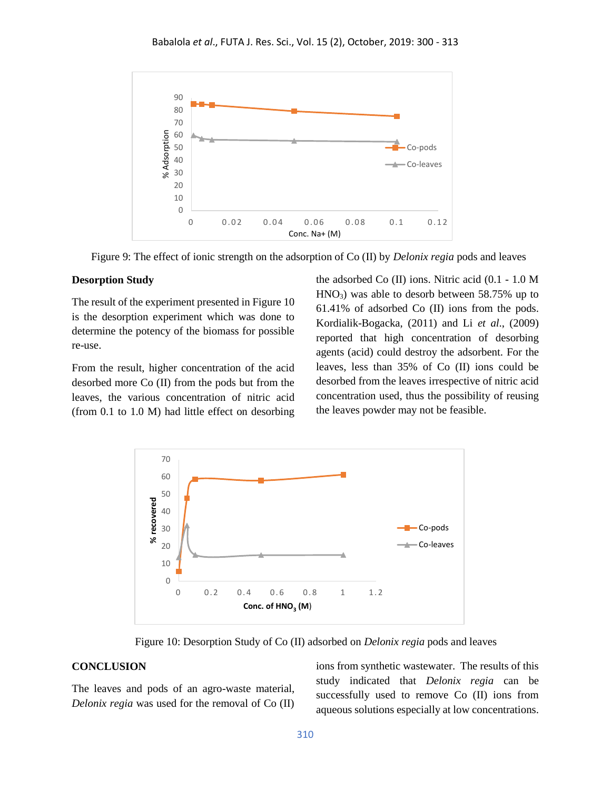

Figure 9: The effect of ionic strength on the adsorption of Co (II) by *Delonix regia* pods and leaves

### **Desorption Study**

The result of the experiment presented in Figure 10 is the desorption experiment which was done to determine the potency of the biomass for possible re-use.

From the result, higher concentration of the acid desorbed more Co (II) from the pods but from the leaves, the various concentration of nitric acid (from 0.1 to 1.0 M) had little effect on desorbing the adsorbed Co (II) ions. Nitric acid (0.1 - 1.0 M  $HNO<sub>3</sub>$ ) was able to desorb between 58.75% up to 61.41% of adsorbed Co (II) ions from the pods. Kordialik-Bogacka, (2011) and Li *et al*., (2009) reported that high concentration of desorbing agents (acid) could destroy the adsorbent. For the leaves, less than 35% of Co (II) ions could be desorbed from the leaves irrespective of nitric acid concentration used, thus the possibility of reusing the leaves powder may not be feasible.



Figure 10: Desorption Study of Co (II) adsorbed on *Delonix regia* pods and leaves

#### **CONCLUSION**

The leaves and pods of an agro-waste material, *Delonix regia* was used for the removal of Co (II) ions from synthetic wastewater. The results of this study indicated that *Delonix regia* can be successfully used to remove Co (II) ions from aqueous solutions especially at low concentrations.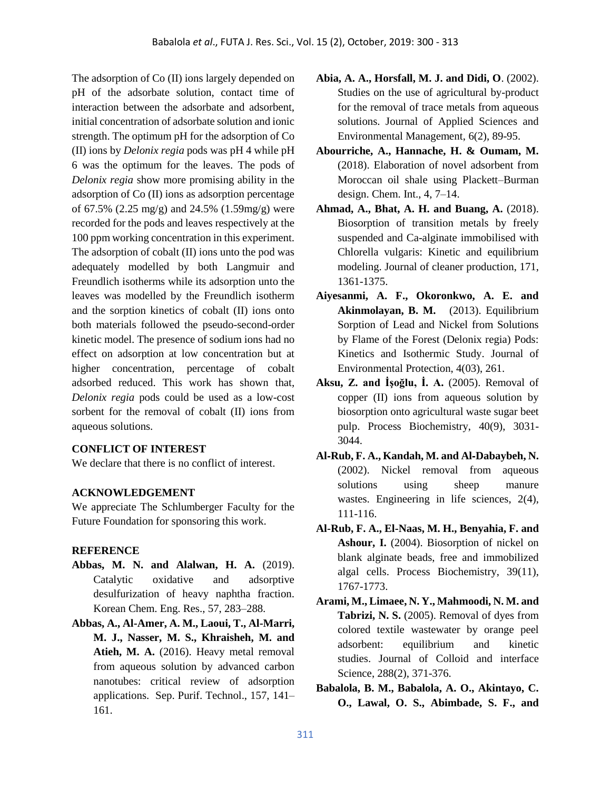The adsorption of Co (II) ions largely depended on pH of the adsorbate solution, contact time of interaction between the adsorbate and adsorbent, initial concentration of adsorbate solution and ionic strength. The optimum pH for the adsorption of Co (II) ions by *Delonix regia* pods was pH 4 while pH 6 was the optimum for the leaves. The pods of *Delonix regia* show more promising ability in the adsorption of Co (II) ions as adsorption percentage of 67.5% (2.25 mg/g) and 24.5% (1.59mg/g) were recorded for the pods and leaves respectively at the 100 ppm working concentration in this experiment. The adsorption of cobalt (II) ions unto the pod was adequately modelled by both Langmuir and Freundlich isotherms while its adsorption unto the leaves was modelled by the Freundlich isotherm and the sorption kinetics of cobalt (II) ions onto both materials followed the pseudo-second-order kinetic model. The presence of sodium ions had no effect on adsorption at low concentration but at higher concentration, percentage of cobalt adsorbed reduced. This work has shown that, *Delonix regia* pods could be used as a low-cost sorbent for the removal of cobalt (II) ions from aqueous solutions.

## **CONFLICT OF INTEREST**

We declare that there is no conflict of interest.

## **ACKNOWLEDGEMENT**

We appreciate The Schlumberger Faculty for the Future Foundation for sponsoring this work.

## **REFERENCE**

- **Abbas, M. N. and Alalwan, H. A.** (2019). Catalytic oxidative and adsorptive desulfurization of heavy naphtha fraction. Korean Chem. Eng. Res., 57, 283–288.
- **Abbas, A., Al-Amer, A. M., Laoui, T., Al-Marri, M. J., Nasser, M. S., Khraisheh, M. and Atieh, M. A.** (2016). Heavy metal removal from aqueous solution by advanced carbon nanotubes: critical review of adsorption applications. Sep. Purif. Technol., 157, 141– 161.
- **Abia, A. A., Horsfall, M. J. and Didi, O**. (2002). Studies on the use of agricultural by-product for the removal of trace metals from aqueous solutions. Journal of Applied Sciences and Environmental Management, 6(2), 89-95.
- **Abourriche, A., Hannache, H. & Oumam, M.** (2018). Elaboration of novel adsorbent from Moroccan oil shale using Plackett–Burman design. Chem. Int., 4, 7–14.
- **Ahmad, A., Bhat, A. H. and Buang, A.** (2018). Biosorption of transition metals by freely suspended and Ca-alginate immobilised with Chlorella vulgaris: Kinetic and equilibrium modeling. Journal of cleaner production, 171, 1361-1375.
- **Aiyesanmi, A. F., Okoronkwo, A. E. and Akinmolayan, B. M.** (2013). Equilibrium Sorption of Lead and Nickel from Solutions by Flame of the Forest (Delonix regia) Pods: Kinetics and Isothermic Study. Journal of Environmental Protection, 4(03), 261.
- **Aksu, Z. and İşoğlu, İ. A.** (2005). Removal of copper (II) ions from aqueous solution by biosorption onto agricultural waste sugar beet pulp. Process Biochemistry, 40(9), 3031- 3044.
- **Al**‐**Rub, F. A., Kandah, M. and Al**‐**Dabaybeh, N.** (2002). Nickel removal from aqueous solutions using sheep manure wastes. Engineering in life sciences, 2(4), 111-116.
- **Al-Rub, F. A., El-Naas, M. H., Benyahia, F. and Ashour, I.** (2004). Biosorption of nickel on blank alginate beads, free and immobilized algal cells. Process Biochemistry, 39(11), 1767-1773.
- **Arami, M., Limaee, N. Y., Mahmoodi, N. M. and Tabrizi, N. S.** (2005). Removal of dyes from colored textile wastewater by orange peel adsorbent: equilibrium and kinetic studies. Journal of Colloid and interface Science, 288(2), 371-376.
- **Babalola, B. M., Babalola, A. O., Akintayo, C. O., Lawal, O. S., Abimbade, S. F., and**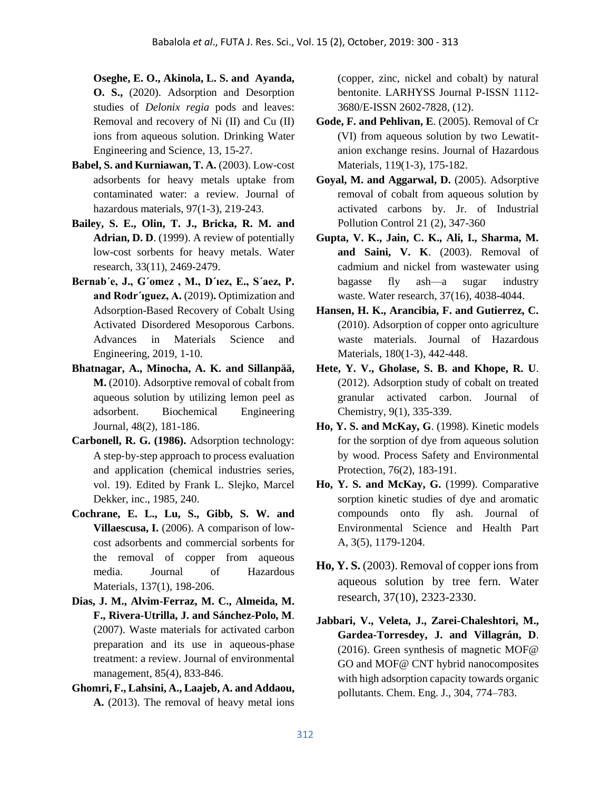**Oseghe, E. O., Akinola, L. S. and Ayanda, O. S.,** (2020). Adsorption and Desorption studies of *Delonix regia* pods and leaves: Removal and recovery of Ni (II) and Cu (II) ions from aqueous solution. Drinking Water Engineering and Science, 13, 15-27.

- **Babel, S. and Kurniawan, T. A.** (2003). Low-cost adsorbents for heavy metals uptake from contaminated water: a review. Journal of hazardous materials, 97(1-3), 219-243.
- **Bailey, S. E., Olin, T. J., Bricka, R. M. and Adrian, D. D**. (1999). A review of potentially low-cost sorbents for heavy metals. Water research, 33(11), 2469-2479.
- **Bernab´e, J., G´omez , M., D´ıez, E., S´aez, P. and Rodr´ıguez, A.** (2019)**.** Optimization and Adsorption-Based Recovery of Cobalt Using Activated Disordered Mesoporous Carbons. Advances in Materials Science and Engineering, 2019, 1-10.
- **Bhatnagar, A., Minocha, A. K. and Sillanpää, M.** (2010). Adsorptive removal of cobalt from aqueous solution by utilizing lemon peel as adsorbent. Biochemical Engineering Journal, 48(2), 181-186.
- **Carbonell, R. G. (1986).** Adsorption technology: A step‐by‐step approach to process evaluation and application (chemical industries series, vol. 19). Edited by Frank L. Slejko, Marcel Dekker, inc., 1985, 240.
- **Cochrane, E. L., Lu, S., Gibb, S. W. and Villaescusa, I.** (2006). A comparison of lowcost adsorbents and commercial sorbents for the removal of copper from aqueous media. Journal of Hazardous Materials, 137(1), 198-206.
- **Dias, J. M., Alvim-Ferraz, M. C., Almeida, M. F., Rivera-Utrilla, J. and Sánchez-Polo, M**. (2007). Waste materials for activated carbon preparation and its use in aqueous-phase treatment: a review. Journal of environmental management, 85(4), 833-846.
- **Ghomri, F., Lahsini, A., Laajeb, A. and Addaou, A.** (2013). The removal of heavy metal ions

(copper, zinc, nickel and cobalt) by natural bentonite. LARHYSS Journal P-ISSN 1112- 3680/E-ISSN 2602-7828, (12).

- **Gode, F. and Pehlivan, E**. (2005). Removal of Cr (VI) from aqueous solution by two Lewatitanion exchange resins. Journal of Hazardous Materials, 119(1-3), 175-182.
- **Goyal, M. and Aggarwal, D.** (2005). Adsorptive removal of cobalt from aqueous solution by activated carbons by. Jr. of Industrial Pollution Control 21 (2), 347-360
- **Gupta, V. K., Jain, C. K., Ali, I., Sharma, M. and Saini, V. K**. (2003). Removal of cadmium and nickel from wastewater using bagasse fly ash—a sugar industry waste. Water research, 37(16), 4038-4044.
- **Hansen, H. K., Arancibia, F. and Gutierrez, C.** (2010). Adsorption of copper onto agriculture waste materials. Journal of Hazardous Materials, 180(1-3), 442-448.
- **Hete, Y. V., Gholase, S. B. and Khope, R. U**. (2012). Adsorption study of cobalt on treated granular activated carbon. Journal of Chemistry, 9(1), 335-339.
- **Ho, Y. S. and McKay, G**. (1998). Kinetic models for the sorption of dye from aqueous solution by wood. Process Safety and Environmental Protection, 76(2), 183-191.
- **Ho, Y. S. and McKay, G.** (1999). Comparative sorption kinetic studies of dye and aromatic compounds onto fly ash. Journal of Environmental Science and Health Part A, 3(5), 1179-1204.
- **Ho, Y. S.** (2003). Removal of copper ions from aqueous solution by tree fern. Water research, 37(10), 2323-2330.
- **Jabbari, V., Veleta, J., Zarei-Chaleshtori, M., Gardea-Torresdey, J. and Villagrán, D**. (2016). Green synthesis of magnetic MOF@ GO and MOF@ CNT hybrid nanocomposites with high adsorption capacity towards organic pollutants. Chem. Eng. J., 304, 774–783.